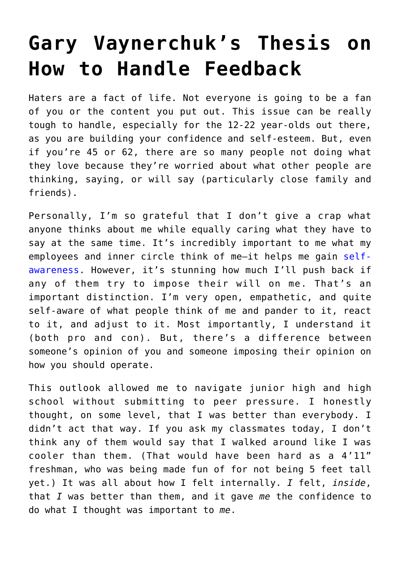## **[Gary Vaynerchuk's Thesis on](https://www.commpro.biz/gary-vaynerchuks-thesis-on-how-to-handle-feedback/) [How to Handle Feedback](https://www.commpro.biz/gary-vaynerchuks-thesis-on-how-to-handle-feedback/)**

Haters are a fact of life. Not everyone is going to be a fan of you or the content you put out. This issue can be really tough to handle, especially for the 12-22 year-olds out there, as you are building your confidence and self-esteem. But, even if you're 45 or 62, there are so many people not doing what they love because they're worried about what other people are thinking, saying, or will say (particularly close family and friends).

Personally, I'm so grateful that I don't give a crap what anyone thinks about me while equally caring what they have to say at the same time. It's incredibly important to me what my employees and inner circle think of me—it helps me gain [self](https://www.youtube.com/watch?v=OXSdEZX68_0)[awareness](https://www.youtube.com/watch?v=OXSdEZX68_0). However, it's stunning how much I'll push back if any of them try to impose their will on me. That's an important distinction. I'm very open, empathetic, and quite self-aware of what people think of me and pander to it, react to it, and adjust to it. Most importantly, I understand it (both pro and con). But, there's a difference between someone's opinion of you and someone imposing their opinion on how you should operate.

This outlook allowed me to navigate junior high and high school without submitting to peer pressure. I honestly thought, on some level, that I was better than everybody. I didn't act that way. If you ask my classmates today, I don't think any of them would say that I walked around like I was cooler than them. (That would have been hard as a 4'11" freshman, who was being made fun of for not being 5 feet tall yet.) It was all about how I felt internally. *I* felt, *inside*, that *I* was better than them, and it gave *me* the confidence to do what I thought was important to *me*.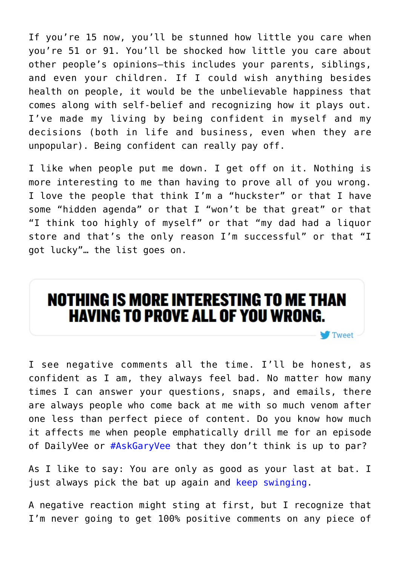If you're 15 now, you'll be stunned how little you care when you're 51 or 91. You'll be shocked how little you care about other people's opinions—this includes your parents, siblings, and even your children. If I could wish anything besides health on people, it would be the unbelievable happiness that comes along with self-belief and recognizing how it plays out. I've made my living by being confident in myself and my decisions (both in life and business, even when they are unpopular). Being confident can really pay off.

I like when people put me down. I get off on it. Nothing is more interesting to me than having to prove all of you wrong. I love the people that think I'm a "huckster" or that I have some "hidden agenda" or that I "won't be that great" or that "I think too highly of myself" or that "my dad had a liquor store and that's the only reason I'm successful" or that "I got lucky"… the list goes on.

## NOTHING IS MORE INTERESTING TO ME THAN **HAVING TO PROVE ALL OF YOU WRONG.**

Tweet

I see negative comments all the time. I'll be honest, as confident as I am, they always feel bad. No matter how many times I can answer your questions, snaps, and emails, there are always people who come back at me with so much venom after one less than perfect piece of content. Do you know how much it affects me when people emphatically drill me for an episode of DailyVee or [#AskGaryVee](https://www.commpro.biz/the-askgaryvee-show-channel/) that they don't think is up to par?

As I like to say: You are only as good as your last at bat. I just always pick the bat up again and [keep swinging.](https://www.garyvaynerchuk.com/one-piece-of-content-can-change-your-life/)

A negative reaction might sting at first, but I recognize that I'm never going to get 100% positive comments on any piece of